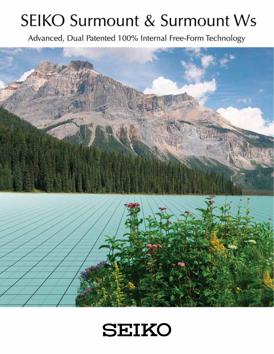# **SEIKO Surmount & Surmount Ws**

Advanced, Dual Patented 100% Internal Free-Form Technology



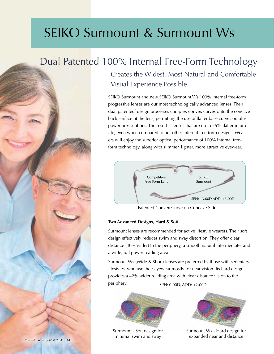# SEIKO Surmount & Surmount Ws

# Dual Patented 100% Internal Free-Form Technology

Creates the Widest, Most Natural and Comfortable Visual Experience Possible

SEIKO Surmount and new SEIKO Surmount Ws 100% internal free-form progressive lenses are our most technologically advanced lenses. Their dual patented\* design processes complex convex curves onto the concave back surface of the lens, permitting the use of flatter base curves on plus power prescriptions. The result is lenses that are up to 25% flatter in profile, even when compared to our other internal free-form designs. Wearers will enjoy the superior optical performance of 100% internal freeform technology, along with slimmer, lighter, more attractive eyewear.



Patented Convex Curve on Concave Side

#### **Two Advanced Designs, Hard & Soft**

Surmount lenses are recommended for active lifestyle wearers. Their soft design effectively reduces swim and sway distortion. They offer clear distance (40% wider) to the periphery, a smooth natural intermediate, and a wide, full power reading area.

Surmount Ws (Wide & Short) lenses are preferred by those with sedentary lifestyles, who use their eyewear mostly for near vision. Its hard design provides a 42% wider reading area with clear distance vision to the periphery. SPH: 0.00D, ADD: +2.00D



Surmount - Soft design for minimal swim and sway



Surmount Ws - Hard design for expanded near and distance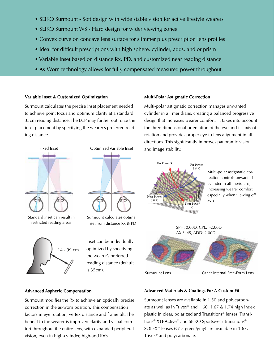- SEIKO Surmount Soft design with wide stable vision for active lifestyle wearers
- SEIKO Surmount WS Hard design for wider viewing zones
- Convex curve on concave lens surface for slimmer plus prescription lens profiles
- Ideal for difficult prescriptions with high sphere, cylinder, adds, and or prism
- Variable inset based on distance Rx, PD, and customized near reading distance
- As-Worn technology allows for fully compensated measured power throughout

#### **Variable Inset & Customized Optimization**

Surmount calculates the precise inset placement needed to achieve point focus and optimum clarity at a standard 35cm reading distance. The ECP may further optimize the inset placement by specifying the wearer's preferred reading distance.



Standard inset can result in restricted reading areas



Fixed Inset Optimized Variable Inset

Surmount calculates optimal inset from distance Rx & PD

Inset can be individually optimized by specifying the wearer's preferred reading distance (default

#### **Multi-Polar Astigmatic Correction**

Multi-polar astigmatic correction manages unwanted cylinder in all meridians, creating a balanced progressive design that increases wearer comfort. It takes into account the three-dimensional orientation of the eye and its axis of rotation and provides proper eye to lens alignment in all directions. This significantly improves panoramic vision and image stability.



Multi-polar astigmatic correction controls unwanted cylinder in all meridians, increasing wearer comfort, especially when viewing off axis.



**Advanced Aspheric Compensation**

Surmount modifies the Rx to achieve an optically precise correction in the as-worn position. This compensation factors in eye rotation, vertex distance and frame tilt. The benefit to the wearer is improved clarity and visual comfort throughout the entire lens, with expanded peripheral vision, even in high-cylinder, high-add Rx's.

#### **Advanced Materials & Coatings For A Custom Fit**

Surmount lenses are available in 1.50 and polycarbonate as well as in Trivex® and 1.60, 1.67 & 1.74 high index plastic in clear, polarized and Transitions® lenses. Transitions<sup>®</sup> XTRActive<sup>™</sup> and SEIKO Sportswear Transitions<sup>®</sup> SOLFX™ lenses (G15 green/gray) are available in 1.67, Trivex® and polycarbonate.